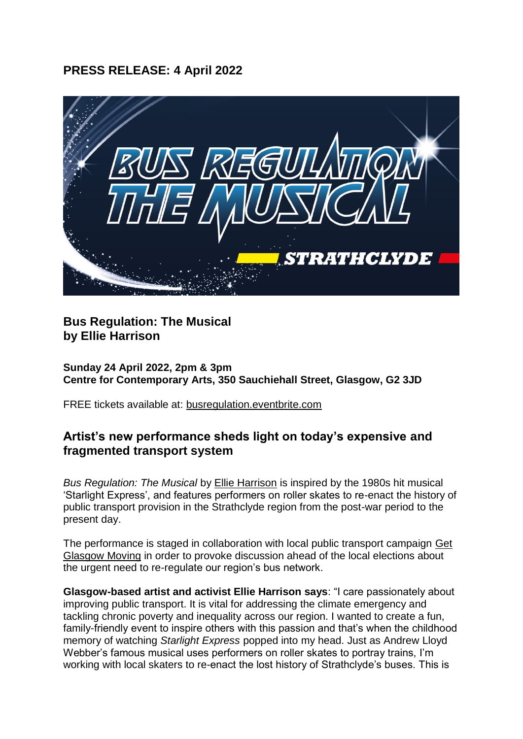# **PRESS RELEASE: 4 April 2022**



## **Bus Regulation: The Musical by Ellie Harrison**

**Sunday 24 April 2022, 2pm & 3pm Centre for Contemporary Arts, 350 Sauchiehall Street, Glasgow, G2 3JD**

FREE tickets available at: [busregulation.eventbrite.com](https://busregulation.eventbrite.com/)

## **Artist's new performance sheds light on today's expensive and fragmented transport system**

*Bus Regulation: The Musical* by [Ellie Harrison](https://www.ellieharrison.com/busregulation/) is inspired by the 1980s hit musical 'Starlight Express', and features performers on roller skates to re-enact the history of public transport provision in the Strathclyde region from the post-war period to the present day.

The performance is staged in collaboration with local public transport campaign [Get](https://www.getglasgowmoving.org/campaign/election2022/)  [Glasgow Moving](https://www.getglasgowmoving.org/campaign/election2022/) in order to provoke discussion ahead of the local elections about the urgent need to re-regulate our region's bus network.

**Glasgow-based artist and activist Ellie Harrison says**: "I care passionately about improving public transport. It is vital for addressing the climate emergency and tackling chronic poverty and inequality across our region. I wanted to create a fun, family-friendly event to inspire others with this passion and that's when the childhood memory of watching *Starlight Express* popped into my head. Just as Andrew Lloyd Webber's famous musical uses performers on roller skates to portray trains, I'm working with local skaters to re-enact the lost history of Strathclyde's buses. This is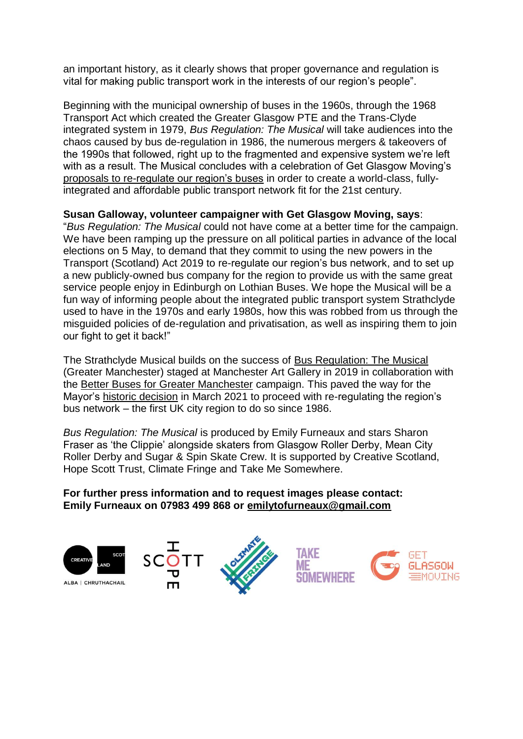an important history, as it clearly shows that proper governance and regulation is vital for making public transport work in the interests of our region's people".

Beginning with the municipal ownership of buses in the 1960s, through the 1968 Transport Act which created the Greater Glasgow PTE and the Trans-Clyde integrated system in 1979, *Bus Regulation: The Musical* will take audiences into the chaos caused by bus de-regulation in 1986, the numerous mergers & takeovers of the 1990s that followed, right up to the fragmented and expensive system we're left with as a result. The Musical concludes with a celebration of Get Glasgow Moving's [proposals to re-regulate our region's buses](https://www.getglasgowmoving.org/campaign/election2022/) in order to create a world-class, fullyintegrated and affordable public transport network fit for the 21st century.

### **Susan Galloway, volunteer campaigner with Get Glasgow Moving, says**:

"*Bus Regulation: The Musical* could not have come at a better time for the campaign. We have been ramping up the pressure on all political parties in advance of the local elections on 5 May, to demand that they commit to using the new powers in the Transport (Scotland) Act 2019 to re-regulate our region's bus network, and to set up a new publicly-owned bus company for the region to provide us with the same great service people enjoy in Edinburgh on Lothian Buses. We hope the Musical will be a fun way of informing people about the integrated public transport system Strathclyde used to have in the 1970s and early 1980s, how this was robbed from us through the misguided policies of de-regulation and privatisation, as well as inspiring them to join our fight to get it back!"

The Strathclyde Musical builds on the success of [Bus Regulation: The Musical](https://www.ellieharrison.com/busregulation/) (Greater Manchester) staged at Manchester Art Gallery in 2019 in collaboration with the [Better Buses for Greater Manchester](https://betterbusesgm.org.uk/) campaign. This paved the way for the Mayor's [historic decision](https://www.getglasgowmoving.org/news/manchester/) in March 2021 to proceed with re-regulating the region's bus network – the first UK city region to do so since 1986.

*Bus Regulation: The Musical* is produced by Emily Furneaux and stars Sharon Fraser as 'the Clippie' alongside skaters from Glasgow Roller Derby, Mean City Roller Derby and Sugar & Spin Skate Crew. It is supported by Creative Scotland, Hope Scott Trust, Climate Fringe and Take Me Somewhere.

#### **For further press information and to request images please contact: Emily Furneaux on 07983 499 868 or [emilytofurneaux@gmail.com](mailto:emilytofurneaux@gmail.com)**